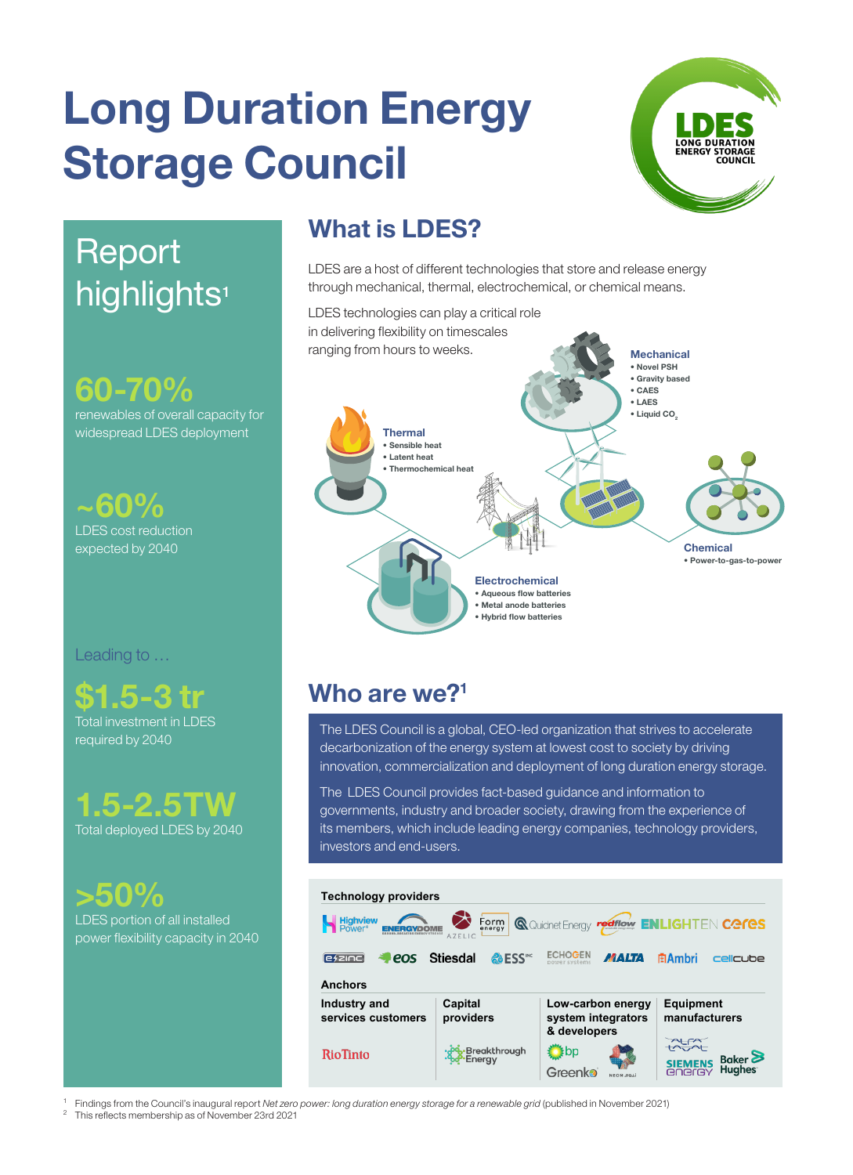# Long Duration Energy Storage Council



## Report highlights<sup>1</sup>

## 60-70%

renewables of overall capacity for widespread LDES deployment

 $\sim$  60% LDES cost reduction expected by 2040

Leading to …

\$1.5-3 tr Total investment in LDES required by 2040

1.5-2.5TW Total deployed LDES by 2040

 $>50\%$ LDES portion of all installed power flexibility capacity in 2040

## What is LDES?

LDES are a host of different technologies that store and release energy through mechanical, thermal, electrochemical, or chemical means.



## Who are we?<sup>1</sup>

decarbonization of the energy system at lowest cost to society by driving The LDES Council is a global, CEO-led organization that strives to accelerate innovation, commercialization and deployment of long duration energy storage.

The LDES Council provides fact-based guidance and information to governments, industry and broader society, drawing from the experience of its members, which include leading energy companies, technology providers, investors and end-users.



<sup>1</sup> Findings from the Council's inaugural report *Net zero power: long duration energy storage for a renewable grid* (published in November 2021)

<sup>2</sup> This reflects membership as of November 23rd 2021